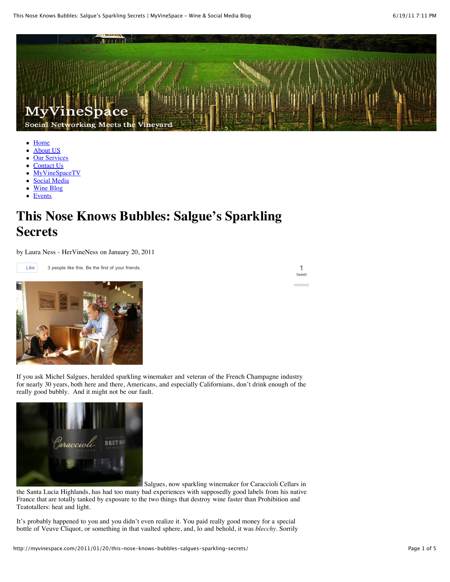

- [Home](http://myvinespace.com/)
- [About US](http://myvinespace.com/about/)  $\bullet$
- **[Our Services](http://myvinespace.com/services/)** [Contact Us](http://myvinespace.com/contact/)
- [MyVineSpaceTV](http://myvinespace.com/myvinespacetv/)
- [Social Media](http://myvinespace.com/category/social_media/)
- [Wine Blog](http://myvinespace.com/category/wine_blog/)
- [Events](http://www.summittoseawinetrail.com/events-2/)

## **This Nose Knows Bubbles: Salgue's Sparkling Secrets**

by Laura Ness - HerVineNess on January 20, 2011

Like 3 people like this. Be the first of your friends.



If you ask Michel Salgues, heralded sparkling winemaker and veteran of the French Champagne industry for nearly 30 years, both here and there, Americans, and especially Californians, don't drink enough of the really good bubbly. And it might not be our fault.



 Salgues, now sparkling winemaker for Caraccioli Cellars in the Santa Lucia Highlands, has had too many bad experiences with supposedly good labels from his native

France that are totally tanked by exposure to the two things that destroy wine faster than Prohibition and Teatotallers: heat and light.

It's probably happened to you and you didn't even realize it. You paid really good money for a special bottle of Veuve Cliquot, or something in that vaulted sphere, and, lo and behold, it was *blecchy.* Sorrily

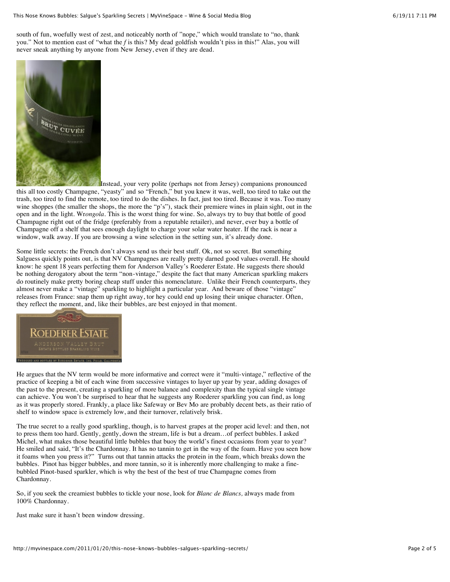south of fun, woefully west of zest, and noticeably north of "nope," which would translate to "no, thank you." Not to mention east of "what the *f* is this? My dead goldfish wouldn't piss in this!" Alas, you will never sneak anything by anyone from New Jersey, even if they are dead.



Instead, your very polite (perhaps not from Jersey) companions pronounced this all too costly Champagne, "yeasty" and so "French," but you knew it was, well, too tired to take out the trash, too tired to find the remote, too tired to do the dishes. In fact, just too tired. Because it was. Too many wine shoppes (the smaller the shops, the more the "p's"), stack their premiere wines in plain sight, out in the open and in the light. Wr*ongola.* This is the worst thing for wine. So, always try to buy that bottle of good Champagne right out of the fridge (preferably from a reputable retailer), and never, ever buy a bottle of Champagne off a shelf that sees enough daylight to charge your solar water heater. If the rack is near a window, walk away. If you are browsing a wine selection in the setting sun, it's already done.

Some little secrets: the French don't always send us their best stuff. Ok, not so secret. But something Salguess quickly points out, is that NV Champagnes are really pretty darned good values overall. He should know: he spent 18 years perfecting them for Anderson Valley's Roederer Estate. He suggests there should be nothing derogatory about the term "non-vintage," despite the fact that many American sparkling makers do routinely make pretty boring cheap stuff under this nomenclature. Unlike their French counterparts, they almost never make a "vintage" sparkling to highlight a particular year. And beware of those "vintage" releases from France: snap them up right away, tor hey could end up losing their unique character. Often, they reflect the moment, and, like their bubbles, are best enjoyed in that moment.



He argues that the NV term would be more informative and correct were it "multi-vintage," reflective of the practice of keeping a bit of each wine from successive vintages to layer up year by year, adding dosages of the past to the present, creating a sparkling of more balance and complexity than the typical single vintage can achieve. You won't be surprised to hear that he suggests any Roederer sparkling you can find, as long as it was properly stored. Frankly, a place like Safeway or Bev Mo are probably decent bets, as their ratio of shelf to window space is extremely low, and their turnover, relatively brisk.

The true secret to a really good sparkling, though, is to harvest grapes at the proper acid level: and then, not to press them too hard. Gently, gently, down the stream, life is but a dream…of perfect bubbles. I asked Michel, what makes those beautiful little bubbles that buoy the world's finest occasions from year to year? He smiled and said, "It's the Chardonnay. It has no tannin to get in the way of the foam. Have you seen how it foams when you press it?" Turns out that tannin attacks the protein in the foam, which breaks down the bubbles. Pinot has bigger bubbles, and more tannin, so it is inherently more challenging to make a finebubbled Pinot-based sparkler, which is why the best of the best of true Champagne comes from Chardonnay.

So, if you seek the creamiest bubbles to tickle your nose, look for *Blanc de Blancs,* always made from 100% Chardonnay.

Just make sure it hasn't been window dressing.